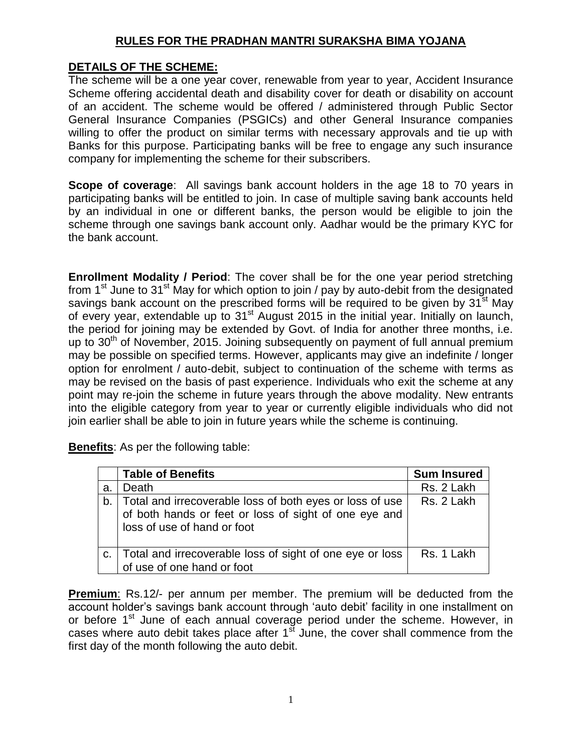# **RULES FOR THE PRADHAN MANTRI SURAKSHA BIMA YOJANA**

#### **DETAILS OF THE SCHEME:**

The scheme will be a one year cover, renewable from year to year, Accident Insurance Scheme offering accidental death and disability cover for death or disability on account of an accident. The scheme would be offered / administered through Public Sector General Insurance Companies (PSGICs) and other General Insurance companies willing to offer the product on similar terms with necessary approvals and tie up with Banks for this purpose. Participating banks will be free to engage any such insurance company for implementing the scheme for their subscribers.

**Scope of coverage**: All savings bank account holders in the age 18 to 70 years in participating banks will be entitled to join. In case of multiple saving bank accounts held by an individual in one or different banks, the person would be eligible to join the scheme through one savings bank account only. Aadhar would be the primary KYC for the bank account.

**Enrollment Modality / Period**: The cover shall be for the one year period stretching from 1<sup>st</sup> June to 31<sup>st</sup> May for which option to join / pay by auto-debit from the designated savings bank account on the prescribed forms will be required to be given by  $31<sup>st</sup>$  May of every year, extendable up to 31<sup>st</sup> August 2015 in the initial year. Initially on launch, the period for joining may be extended by Govt. of India for another three months, i.e. up to  $30<sup>th</sup>$  of November, 2015. Joining subsequently on payment of full annual premium may be possible on specified terms. However, applicants may give an indefinite / longer option for enrolment / auto-debit, subject to continuation of the scheme with terms as may be revised on the basis of past experience. Individuals who exit the scheme at any point may re-join the scheme in future years through the above modality. New entrants into the eligible category from year to year or currently eligible individuals who did not join earlier shall be able to join in future years while the scheme is continuing.

**Benefits**: As per the following table:

|    | <b>Table of Benefits</b>                                                                                                                            | <b>Sum Insured</b> |
|----|-----------------------------------------------------------------------------------------------------------------------------------------------------|--------------------|
| a. | Death                                                                                                                                               | Rs. 2 Lakh         |
|    | b. Total and irrecoverable loss of both eyes or loss of use<br>of both hands or feet or loss of sight of one eye and<br>loss of use of hand or foot | Rs. 2 Lakh         |
|    | c. Total and irrecoverable loss of sight of one eye or loss<br>of use of one hand or foot                                                           | Rs. 1 Lakh         |

**Premium**: Rs.12/- per annum per member. The premium will be deducted from the account holder's savings bank account through 'auto debit' facility in one installment on or before 1<sup>st</sup> June of each annual coverage period under the scheme. However, in cases where auto debit takes place after  $1<sup>st</sup>$  June, the cover shall commence from the first day of the month following the auto debit.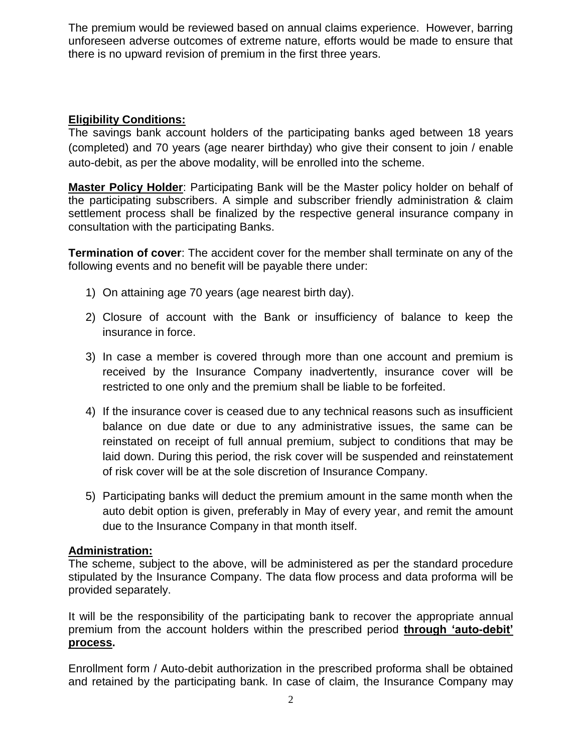The premium would be reviewed based on annual claims experience. However, barring unforeseen adverse outcomes of extreme nature, efforts would be made to ensure that there is no upward revision of premium in the first three years.

# **Eligibility Conditions:**

The savings bank account holders of the participating banks aged between 18 years (completed) and 70 years (age nearer birthday) who give their consent to join / enable auto-debit, as per the above modality, will be enrolled into the scheme.

**Master Policy Holder**: Participating Bank will be the Master policy holder on behalf of the participating subscribers. A simple and subscriber friendly administration & claim settlement process shall be finalized by the respective general insurance company in consultation with the participating Banks.

**Termination of cover**: The accident cover for the member shall terminate on any of the following events and no benefit will be payable there under:

- 1) On attaining age 70 years (age nearest birth day).
- 2) Closure of account with the Bank or insufficiency of balance to keep the insurance in force.
- 3) In case a member is covered through more than one account and premium is received by the Insurance Company inadvertently, insurance cover will be restricted to one only and the premium shall be liable to be forfeited.
- 4) If the insurance cover is ceased due to any technical reasons such as insufficient balance on due date or due to any administrative issues, the same can be reinstated on receipt of full annual premium, subject to conditions that may be laid down. During this period, the risk cover will be suspended and reinstatement of risk cover will be at the sole discretion of Insurance Company.
- 5) Participating banks will deduct the premium amount in the same month when the auto debit option is given, preferably in May of every year, and remit the amount due to the Insurance Company in that month itself.

# **Administration:**

The scheme, subject to the above, will be administered as per the standard procedure stipulated by the Insurance Company. The data flow process and data proforma will be provided separately.

It will be the responsibility of the participating bank to recover the appropriate annual premium from the account holders within the prescribed period **through 'auto-debit' process.** 

Enrollment form / Auto-debit authorization in the prescribed proforma shall be obtained and retained by the participating bank. In case of claim, the Insurance Company may